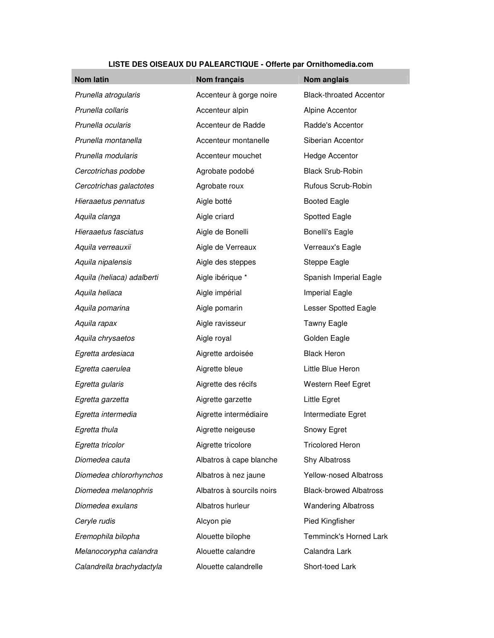## **LISTE DES OISEAUX DU PALEARCTIQUE - Offerte par Ornithomedia.com**

| <b>Nom latin</b>           | Nom français              | Nom anglais                    |
|----------------------------|---------------------------|--------------------------------|
| Prunella atrogularis       | Accenteur à gorge noire   | <b>Black-throated Accentor</b> |
| Prunella collaris          | Accenteur alpin           | Alpine Accentor                |
| Prunella ocularis          | Accenteur de Radde        | Radde's Accentor               |
| Prunella montanella        | Accenteur montanelle      | Siberian Accentor              |
| Prunella modularis         | Accenteur mouchet         | <b>Hedge Accentor</b>          |
| Cercotrichas podobe        | Agrobate podobé           | <b>Black Srub-Robin</b>        |
| Cercotrichas galactotes    | Agrobate roux             | Rufous Scrub-Robin             |
| Hieraaetus pennatus        | Aigle botté               | <b>Booted Eagle</b>            |
| Aquila clanga              | Aigle criard              | Spotted Eagle                  |
| Hieraaetus fasciatus       | Aigle de Bonelli          | <b>Bonelli's Eagle</b>         |
| Aquila verreauxii          | Aigle de Verreaux         | Verreaux's Eagle               |
| Aquila nipalensis          | Aigle des steppes         | Steppe Eagle                   |
| Aquila (heliaca) adalberti | Aigle ibérique *          | Spanish Imperial Eagle         |
| Aquila heliaca             | Aigle impérial            | <b>Imperial Eagle</b>          |
| Aquila pomarina            | Aigle pomarin             | Lesser Spotted Eagle           |
| Aquila rapax               | Aigle ravisseur           | <b>Tawny Eagle</b>             |
| Aquila chrysaetos          | Aigle royal               | Golden Eagle                   |
| Egretta ardesiaca          | Aigrette ardoisée         | <b>Black Heron</b>             |
| Egretta caerulea           | Aigrette bleue            | Little Blue Heron              |
| Egretta gularis            | Aigrette des récifs       | Western Reef Egret             |
| Egretta garzetta           | Aigrette garzette         | Little Egret                   |
| Egretta intermedia         | Aigrette intermédiaire    | Intermediate Egret             |
| Egretta thula              | Aigrette neigeuse         | Snowy Egret                    |
| Egretta tricolor           | Aigrette tricolore        | <b>Tricolored Heron</b>        |
| Diomedea cauta             | Albatros à cape blanche   | Shy Albatross                  |
| Diomedea chlororhynchos    | Albatros à nez jaune      | <b>Yellow-nosed Albatross</b>  |
| Diomedea melanophris       | Albatros à sourcils noirs | <b>Black-browed Albatross</b>  |
| Diomedea exulans           | Albatros hurleur          | <b>Wandering Albatross</b>     |
| Ceryle rudis               | Alcyon pie                | Pied Kingfisher                |
| Eremophila bilopha         | Alouette bilophe          | Temminck's Horned Lark         |
| Melanocorypha calandra     | Alouette calandre         | Calandra Lark                  |
| Calandrella brachydactyla  | Alouette calandrelle      | Short-toed Lark                |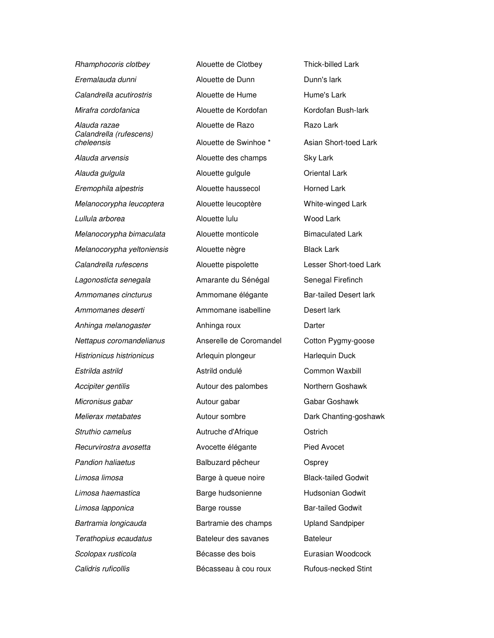Eremalauda dunni Alouette de Dunn Dunn's lark Calandrella acutirostris Calouette de Hume Calandrella acutirostris Mirafra cordofanica and alouette de Kordofan and Kordofan Bush-lark Alauda razae Alouette de Razo Razo Lark Calandrella (rufescens) Alauda arvensis **Alouette des champs** Sky Lark Alauda gulgula **Alouette gulgule** Alouette gulgule **Alauda** Oriental Lark Eremophila alpestris **Alouette haussecol** Horned Lark Melanocorypha leucoptera Alouette leucoptère White-winged Lark Lullula arborea and Alouette lulu Nood Lark Melanocorypha bimaculata Alouette monticole Bimaculated Lark Melanocorypha yeltoniensis Alouette nègre Black Lark Calandrella rufescens Alouette pispolette Lesser Short-toed Lark Lagonosticta senegala **Amarante du Sénégal** Senegal Firefinch Ammomanes cincturus **Ammomane example anticates** Bar-tailed Desert lark Ammomanes deserti and ammomane isabelline Desert lark Anhinga melanogaster **Anhinga roux** Darter Nettapus coromandelianus Anserelle de Coromandel Cotton Pygmy-goose Histrionicus histrionicus Arlequin plongeur Harlequin Duck Estrilda astrild **Astrild Astrild** ondulé **Common Waxbill** Accipiter gentilis **Autour des palombes** Northern Goshawk Micronisus gabar **Micronisus gabar** Autour gabar **Gabar Goshawk** Melierax metabates **Autour sombre** Dark Chanting-goshawk Struthio camelus **Autruche d'Afrique** Costrich Recurvirostra avosetta en avocette élégante Pied Avocet Pandion haliaetus **Balbuzard pêcheur** Osprey Limosa limosa **Barge à queue noire** Black-tailed Godwit Limosa haemastica Barge hudsonienne Hudsonian Godwit Limosa lapponica Barge rousse Bar-tailed Godwit Bartramia longicauda Bartramie des champs Upland Sandpiper Terathopius ecaudatus **Bateleur des savanes** Bateleur Scolopax rusticola Bécasse des bois Eurasian Woodcock Calidris ruficollis Bécasseau à cou roux Rufous-necked Stint

Rhamphocoris clotbey Alouette de Clotbey Thick-billed Lark Alouette de Swinhoe \* Asian Short-toed Lark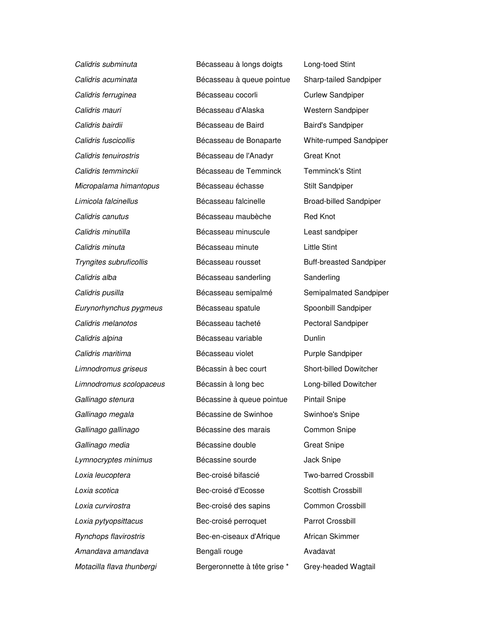Calidris acuminata **Bécasseau** à queue pointue Sharp-tailed Sandpiper Calidris ferruginea Bécasseau cocorli Curlew Sandpiper Calidris mauri Bécasseau d'Alaska Western Sandpiper Calidris bairdii **Bécasseau de Baird Francis** Baird's Sandpiper Calidris fuscicollis Bécasseau de Bonaparte White-rumped Sandpiper Calidris tenuirostris Bécasseau de l'Anadyr Great Knot Calidris temminckii Bécasseau de Temminck Temminck's Stint Micropalama himantopus Bécasseau échasse Stilt Sandpiper Limicola falcinellus Bécasseau falcinelle Broad-billed Sandpiper Calidris canutus Bécasseau maubèche Red Knot Calidris minutilla Bécasseau minuscule Least sandpiper Calidris minuta Bécasseau minute Little Stint Tryngites subruficollis Tryngites Bécasseau rousset Buff-breasted Sandpiper Calidris alba **Bécasseau** sanderling Sanderling Calidris pusilla Bécasseau semipalmé Semipalmated Sandpiper Eurynorhynchus pygmeus Bécasseau spatule Spoonbill Sandpiper Calidris melanotos Bécasseau tacheté Pectoral Sandpiper Calidris alpina Bécasseau variable Dunlin Calidris maritima **Bécasseau** violet **Purple Sandpiper** Limnodromus griseus Bécassin à bec court Short-billed Dowitcher Limnodromus scolopaceus Bécassin à long bec Long-billed Dowitcher Gallinago stenura en la especie de Bécassine à queue pointue Pintail Snipe Gallinago megala **Bécassine de Swinhoe** Swinhoe's Snipe Gallinago gallinago **Bécassine des marais** Common Snipe Gallinago media entranyo di Bécassine double contra Great Snipe Lymnocryptes minimus **Bécassine sourde** Jack Snipe Loxia leucoptera Bec-croisé bifascié Two-barred Crossbill Loxia scotica Bec-croisé d'Ecosse Scottish Crossbill Loxia curvirostra Bec-croisé des sapins Common Crossbill Loxia pytyopsittacus Bec-croisé perroquet Parrot Crossbill Rynchops flavirostris Bec-en-ciseaux d'Afrique African Skimmer Amandava amandava Bengali rouge Avadavat

Calidris subminuta Bécasseau à longs doigts Long-toed Stint Motacilla flava thunbergi Bergeronnette à tête grise \* Grey-headed Wagtail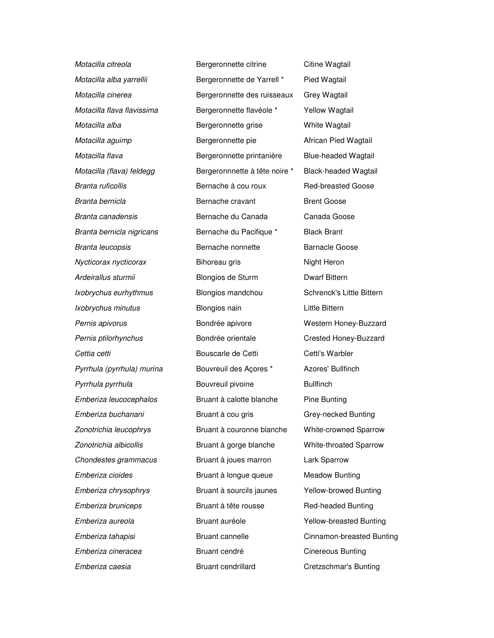Motacilla citreola **Bergeronnette citrine** Citine Wagtail Motacilla alba yarrellii Bergeronnette de Yarrell \* Pied Wagtail Motacilla cinerea **Bergeronnette des ruisseaux** Grey Wagtail Motacilla flava flavissima Bergeronnette flavéole \* Yellow Wagtail Motacilla alba **Bergeronnette grise** White Wagtail Motacilla aguimp **Bergeronnette pie** African Pied Wagtail Motacilla flava **Bergeronnette printanière** Blue-headed Wagtail Motacilla (flava) feldegg Bergeronnnette à tête noire \* Black-headed Wagtail Branta ruficollis Bernache à cou roux Red-breasted Goose Branta bernicla and Bernache cravant Brent Goose Branta canadensis **Bernache du Canada** Canada Goose Branta bernicla nigricans Bernache du Pacifique \* Black Brant Branta leucopsis **Bernache nonnette** Barnacle Goose Nycticorax nycticorax **Bihoreau gris** Bihoreau gris Night Heron Ardeirallus sturmii **Blongios de Sturm** Dwarf Bittern Ixobrychus eurhythmus Blongios mandchou Schrenck's Little Bittern Ixobrychus minutus Blongios nain Little Bittern Pernis apivorus **Bondrée apivore** Western Honey-Buzzard Pernis ptilorhynchus **Bondrée orientale** Crested Honey-Buzzard Cettia cetti **Cetti** Bouscarle de Cetti Cetti's Warbler Pyrrhula (pyrrhula) murina Bouvreuil des Açores \* Azores' Bullfinch Pyrrhula pyrrhula **Bouvreuil pivoine** Bullfinch Emberiza leucocephalos Bruant à calotte blanche Pine Bunting Emberiza buchanani Bruant à cou gris Grey-necked Bunting Zonotrichia leucophrys Bruant à couronne blanche White-crowned Sparrow Zonotrichia albicollis Bruant à gorge blanche White-throated Sparrow Chondestes grammacus **Bruant à joues marron** Lark Sparrow Emberiza cioides Bruant à longue queue Meadow Bunting Emberiza chrysophrys Bruant à sourcils jaunes Yellow-browed Bunting Emberiza bruniceps Bruant à tête rousse Red-headed Bunting Emberiza aureola **Bruant auréole Bruant auréole Proport de la Vellow-breasted Bunting** Emberiza tahapisi Bruant cannelle Cinnamon-breasted Bunting Emberiza cineracea Bruant cendré Cinereous Bunting Emberiza caesia Bruant cendrillard Cretzschmar's Bunting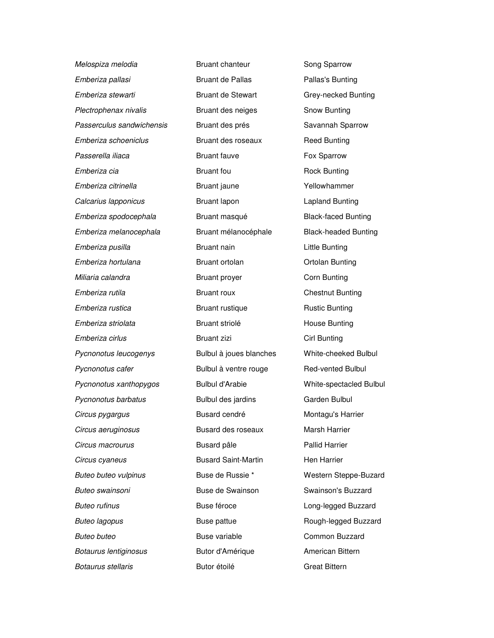Emberiza pallasi entertain beruant de Pallas Pallas's Bunting Emberiza stewarti Bruant de Stewart Grey-necked Bunting Plectrophenax nivalis **Bruant des neiges** Snow Bunting Passerculus sandwichensis Bruant des prés Savannah Sparrow Emberiza schoeniclus **Bruant des roseaux** Reed Bunting Passerella iliaca **Bruant fauve Fox Sparrow** Emberiza cia **Bruant** fou Bruant fou Emberiza citrinella Bruant jaune Yellowhammer Calcarius lapponicus Bruant lapon Lapland Bunting Emberiza spodocephala Bruant masqué Black-faced Bunting Emberiza melanocephala Bruant mélanocéphale Black-headed Bunting Emberiza pusilla Bruant nain and Little Bunting Emberiza hortulana Bruant ortolan Ortolan Bunting Miliaria calandra **Bruant proyer** Corn Bunting Emberiza rutila **Bruant roux** Chestnut Bunting Emberiza rustica **Bruant rustique** Rustic Bunting Emberiza striolata **Bruant striolé** Emberiza striolata Emberiza cirlus Bruant zizi Cirl Bunting Pycnonotus leucogenys Bulbul à joues blanches White-cheeked Bulbul Pycnonotus cafer The Bulbul à ventre rouge Red-vented Bulbul Pycnonotus xanthopygos Bulbul d'Arabie White-spectacled Bulbul Pycnonotus barbatus **Bulbul des jardins** Garden Bulbul Circus pygargus **Busard cendré** Montagu's Harrier Circus aeruginosus **Busard des roseaux** Marsh Harrier Circus macrourus **Busard pâle Circus macrourus Busard pâle Pallid Harrier** Circus cyaneus **Busard Saint-Martin** Hen Harrier Buteo buteo vulpinus **Buse de Russie \*** Western Steppe-Buzard Buteo swainsoni Buse de Swainson Swainson's Buzzard Buteo rufinus **Buse féroce Cong-legged Buzzard Buse** féroce **Long-legged Buzzard** Buteo lagopus **Buse pattue** Buse pattue Rough-legged Buzzard Buteo buteo Buse variable Common Buzzard Botaurus lentiginosus **Butor d'Amérique** American Bittern Botaurus stellaris **Butor étoilé** de la Creat Bittern

Melospiza melodia **Bruant chanteur** Song Sparrow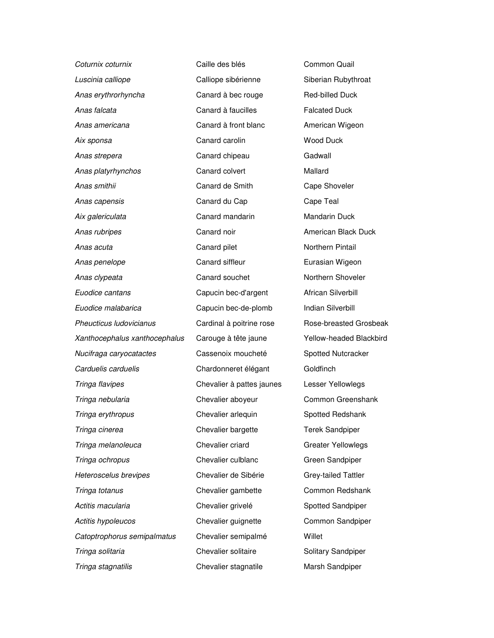| Coturnix coturnix             | Caille des blés           | Commor               |
|-------------------------------|---------------------------|----------------------|
| Luscinia calliope             | Calliope sibérienne       | Siberian             |
| Anas erythrorhyncha           | Canard à bec rouge        | Red-bille            |
| Anas falcata                  | Canard à faucilles        | Falcated             |
| Anas americana                | Canard à front blanc      | Americar             |
| Aix sponsa                    | Canard carolin            | Wood Du              |
| Anas strepera                 | Canard chipeau            | Gadwall              |
| Anas platyrhynchos            | Canard colvert            | Mallard              |
| Anas smithii                  | Canard de Smith           | Cape Sh              |
| Anas capensis                 | Canard du Cap             | Cape Te              |
| Aix galericulata              | Canard mandarin           | Mandarir             |
| Anas rubripes                 | Canard noir               | Americar             |
| Anas acuta                    | Canard pilet              | Northern             |
| Anas penelope                 | Canard siffleur           | Eurasian             |
| Anas clypeata                 | Canard souchet            | Northern             |
| Euodice cantans               | Capucin bec-d'argent      | African S            |
| Euodice malabarica            | Capucin bec-de-plomb      | Indian Si            |
| Pheucticus Iudovicianus       | Cardinal à poitrine rose  | Rose-bre             |
| Xanthocephalus xanthocephalus | Carouge à tête jaune      | Yellow-h             |
| Nucifraga caryocatactes       | Cassenoix moucheté        | Spotted I            |
| Carduelis carduelis           | Chardonneret élégant      | Goldfinch            |
| Tringa flavipes               | Chevalier à pattes jaunes | Lesser Y             |
| Tringa nebularia              | Chevalier aboyeur         | Commor               |
| Tringa erythropus             | Chevalier arlequin        | Spotted              |
| Tringa cinerea                | Chevalier bargette        | Terek Sa             |
| Tringa melanoleuca            | Chevalier criard          | Greater <sup>'</sup> |
| Tringa ochropus               | Chevalier culblanc        | Green Sa             |
| Heteroscelus brevipes         | Chevalier de Sibérie      | Grey-tail            |
| Tringa totanus                | Chevalier gambette        | Commor               |
| Actitis macularia             | Chevalier grivelé         | Spotted              |
| Actitis hypoleucos            | Chevalier guignette       | Commor               |
| Catoptrophorus semipalmatus   | Chevalier semipalmé       | Willet               |
| Tringa solitaria              | Chevalier solitaire       | Solitary 9           |
| Tringa stagnatilis            | Chevalier stagnatile      | Marsh Sa             |

Common Quail Luscinia calliope Calliope sibérienne Siberian Rubythroat uge Red-billed Duck es **Falcated Duck** lanc **American Wigeon Wood Duck** h Cape Shoveler Cape Teal n Mandarin Duck American Black Duck **Northern Pintail** Eurasian Wigeon Northern Shoveler rgent **African Silverbill** plomb Indian Silverbill ne rose **Rose-breasted Grosbeak** aune **Xellow-headed Blackbird** cheté **Spotted Nutcracker** égant Goldfinch es jaunes Lesser Yellowlegs **Tringa nebularia nebulari Common Greenshank** in Spotted Redshank tte **Terek Sandpiper** Greater Yellowlegs nc **Green Sandpiper** érie Grey-tailed Tattler ette Common Redshank Actitis macularia Chevalier grivelé Spotted Sandpiper ette Common Sandpiper Tringa solitary Sandpiper atile Marsh Sandpiper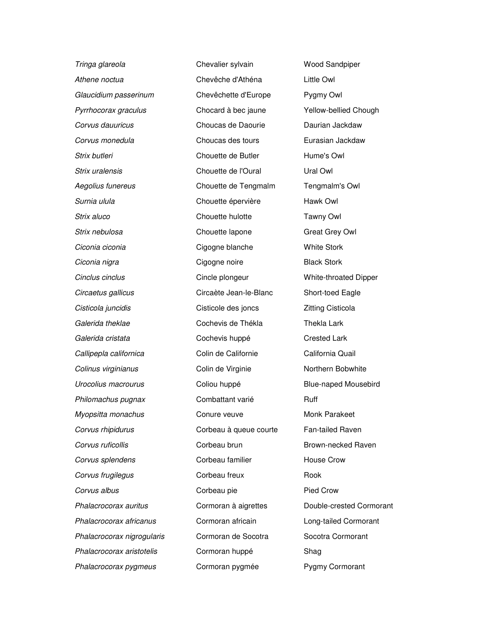Tringa glareola Chevalier sylvain Wood Sandpiper Athene noctua Chevêche d'Athéna Little Owl Glaucidium passerinum Chevêchette d'Europe Pygmy Owl Pyrrhocorax graculus Chocard à bec jaune Yellow-bellied Chough Corvus dauuricus Choucas de Daourie Daurian Jackdaw Corvus monedula Choucas des tours Eurasian Jackdaw Strix butleri Chouette de Butler Hume's Owl Strix uralensis Chouette de l'Oural Ural Owl Aegolius funereus **Chouette de Tengmalm** Tengmalm's Owl Surnia ulula Chouette épervière Hawk Owl Strix aluco Chouette hulotte Tawny Owl Strix nebulosa **Chouette lapone** Great Grey Owl Ciconia ciconia Cigogne blanche White Stork Ciconia nigra **Cigogne noire** Black Stork Cinclus cinclus Cincle plongeur White-throated Dipper Circaetus gallicus Circaète Jean-le-Blanc Short-toed Eagle Cisticola juncidis Cisticole des joncs Zitting Cisticola Galerida theklae Cochevis de Thékla Thekla Lark Galerida cristata Cochevis huppé Crested Lark Callipepla californica Colin de Californie California Quail Colinus virginianus Colin de Virginie Northern Bobwhite Urocolius macrourus Coliou huppé Blue-naped Mousebird Philomachus pugnax Combattant varié Ruff Myopsitta monachus Conure veuve Monk Parakeet Corvus rhipidurus **Corbeau à queue courte** Fan-tailed Raven Corvus ruficollis Corbeau brun Brown-necked Raven Corvus splendens The Corbeau familier Corvus Splendens Corbeau familier Corvus frugilegus Corbeau freux Rook Corvus albus Corbeau pie Pied Crow Phalacrocorax auritus **Cormoran** à aigrettes **Double-crested Cormorant** Phalacrocorax africanus Cormoran africain Cormorant Long-tailed Cormorant Phalacrocorax nigrogularis Cormoran de Socotra Socotra Cormorant Phalacrocorax aristotelis Cormoran huppé Shag Phalacrocorax pygmeus Cormoran pygmée Pygmy Cormorant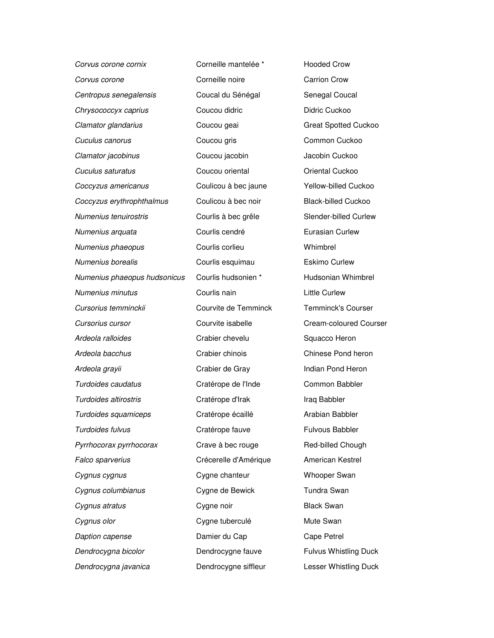Corvus corone cornix Corneille mantelée \* Hooded Crow Corvus corone Corneille noire Carrion Crow Centropus senegalensis Coucal du Sénégal Senegal Coucal Chrysococcyx caprius Coucou didric Didric Cuckoo Clamator glandarius Coucou geai Great Spotted Cuckoo Cuculus canorus Coucou gris Common Cuckoo Clamator jacobinus Coucou jacobin Jacobin Cuckoo Cuculus saturatus Coucou oriental Oriental Cuckoo Coccyzus americanus Coulicou à bec jaune Yellow-billed Cuckoo Coccyzus erythrophthalmus Coulicou à bec noir Black-billed Cuckoo Numenius tenuirostris Courlis à bec grêle Slender-billed Curlew Numenius arquata Courlis cendré Eurasian Curlew Numenius phaeopus Courlis corlieu Whimbrel Numenius borealis Courlis esquimau Eskimo Curlew Numenius phaeopus hudsonicus Courlis hudsonien \* Hudsonian Whimbrel Numenius minutus Courlis nain Little Curlew Cursorius temminckii Courvite de Temminck Temminck's Courser Cursorius cursor Courvite isabelle Cream-coloured Courser Ardeola ralloides Crabier chevelu Squacco Heron Ardeola bacchus Crabier chinois Chinese Pond heron Ardeola grayii **Crabier de Gray** Indian Pond Heron Turdoides caudatus **Cratérope de l'Inde** Common Babbler Turdoides altirostris **Cratérope d'Irak** Iraq Babbler Turdoides squamiceps Cratérope écaillé Arabian Babbler Turdoides fulvus **Turdoides** fulvous Cratérope fauve Fulvous Babbler Pyrrhocorax pyrrhocorax Crave à bec rouge Red-billed Chough Falco sparverius **Eleccialism Crécerelle d'Amérique** American Kestrel Cygnus cygnus Cygne chanteur Whooper Swan Cygnus columbianus Cygne de Bewick Tundra Swan Cygnus atratus Cygne noir Cygne noir Black Swan Cygnus olor Cygne tuberculé Mute Swan Daption capense **Damier du Cap** Cape Petrel Dendrocygna bicolor Dendrocygne fauve Fulvus Whistling Duck Dendrocygna javanica Dendrocygne siffleur Lesser Whistling Duck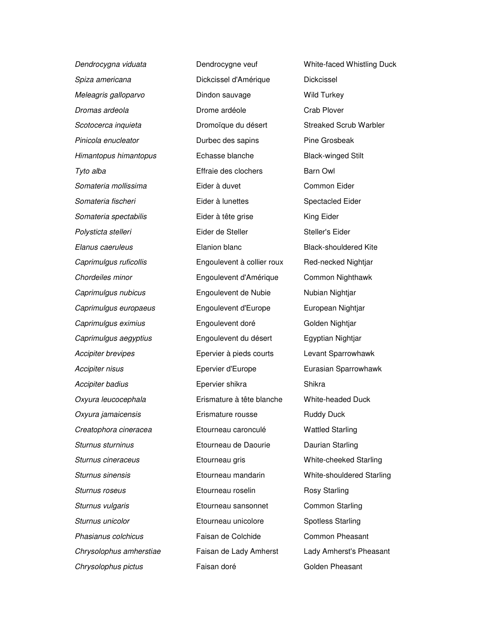Spiza americana **Dickcissel d'Amérique** Dickcissel Meleagris galloparvo **Dindon sauvage** Wild Turkey Dromas ardeola **Drome** ardéole Crab Plover Scotocerca inquieta **Dromoïque du désert** Streaked Scrub Warbler Pinicola enucleator Durbec des sapins Pine Grosbeak Himantopus himantopus **Echasse blanche** Black-winged Stilt Tyto alba **Effraie** des clochers Barn Owl Somateria mollissima Eider à duvet Common Eider Somateria fischeri **Eider à lunettes** Spectacled Eider Somateria spectabilis entitle exclude Eider à tête grise entitlement des King Eider Polysticta stelleri **Eider de Steller** Eider de Steller Steller's Eider Elanus caeruleus Elanion blanc Black-shouldered Kite Caprimulgus ruficollis Engoulevent à collier roux Red-necked Nightjar Chordeiles minor Engoulevent d'Amérique Common Nighthawk Caprimulgus nubicus **Engoulevent de Nubie** Nubian Nightjar Caprimulgus europaeus Engoulevent d'Europe European Nightjar Caprimulgus eximius Engoulevent doré Golden Nightjar Caprimulgus aegyptius Engoulevent du désert Egyptian Nightjar Accipiter brevipes **Epervier à pieds courts** Levant Sparrowhawk Accipiter nisus **Exercise Epervier d'Europe** Eurasian Sparrowhawk Accipiter badius **Epervier shikra** Shikra Oxyura leucocephala **Erismature à tête blanche** White-headed Duck Oxyura jamaicensis **Erismature rousse** Ruddy Duck Creatophora cineracea **Etourneau caronculé** Wattled Starling Sturnus sturninus Etourneau de Daourie Daurian Starling Sturnus cineraceus Etourneau gris White-cheeked Starling Sturnus roseus **Etourneau** roselin Rosy Starling Sturnus vulgaris Etourneau sansonnet Common Starling Sturnus unicolor **Etourneau** unicolore Spotless Starling Phasianus colchicus **Faisan de Colchide** Common Pheasant

Chrysolophus pictus **Faisan doré** Faisan doré Golden Pheasant

Dendrocygna viduata **Dendrocygne veuf** White-faced Whistling Duck Sturnus sinensis Etourneau mandarin White-shouldered Starling Chrysolophus amherstiae Faisan de Lady Amherst Lady Amherst's Pheasant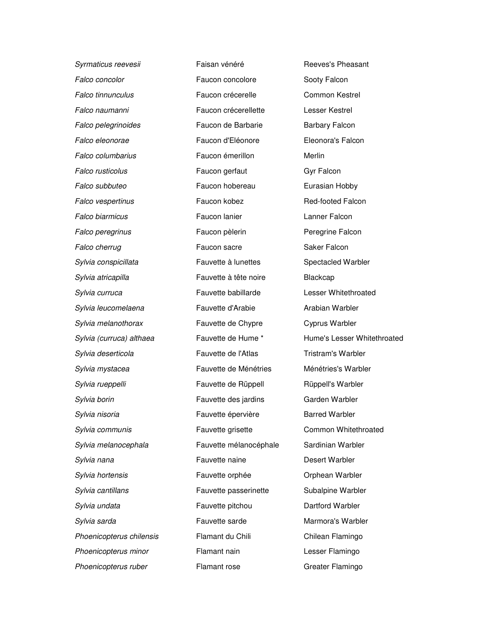Syrmaticus reevesii **Faisan vénéré** Reeves's Pheasant Falco concolor **Faucon** Concolore **Falcon** Sooty Falcon Falco tinnunculus Faucon crécerelle Common Kestrel Falco naumanni Faucon crécerellette Lesser Kestrel Falco pelegrinoides Faucon de Barbarie Falcon Barbary Falcon Falco eleonorae Faucon d'Eléonore Eleonora's Falcon Falco columbarius **Faucon** Faucon émerillon Falco rusticolus Faucon gerfaut Gyr Falcon Falco subbuteo Faucon hobereau Eurasian Hobby Falco vespertinus Faucon kobez Red-footed Falcon Falco biarmicus Faucon lanier Lanner Falcon Falco peregrinus Faucon pèlerin Peregrine Falcon Falco cherrug **Faucon sacre** Faucon sacre Saker Falcon Sylvia conspicillata The Sulvette à lunettes Spectacled Warbler Sylvia atricapilla entrante de Fauvette à tête noire Blackcap Sylvia curruca **Fauvette babillarde** Lesser Whitethroated Sylvia leucomelaena **Fauvette d'Arabie** Arabian Warbler Sylvia melanothorax Fauvette de Chypre Cyprus Warbler Sylvia (curruca) althaea Fauvette de Hume \* Hume's Lesser Whitethroated Sylvia deserticola **Fauvette de l'Atlas** Fristram's Warbler Sylvia mystacea Fauvette de Ménétries Ménétries's Warbler Sylvia rueppelli Fauvette de Rüppell Rüppell's Warbler Sylvia borin **Fauvette des jardins** Garden Warbler Sylvia nisoria **Fauvette épervière** Barred Warbler Sylvia communis **Fauvette grisette** Common Whitethroated Sylvia melanocephala Fauvette mélanocéphale Sardinian Warbler Sylvia nana **Fauvette naine Desert Warbler** Sylvia hortensis Fauvette orphée **Fauvette orphée** Orphean Warbler Sylvia cantillans Trauvette passerinette Subalpine Warbler Sylvia undata Fauvette pitchou Dartford Warbler Sylvia sarda Fauvette sarde Marmora's Warbler Phoenicopterus chilensis Flamant du Chili Chilean Flamingo Phoenicopterus minor Flamant nain Lesser Flamingo Phoenicopterus ruber Flamant rose Flament rose Greater Flamingo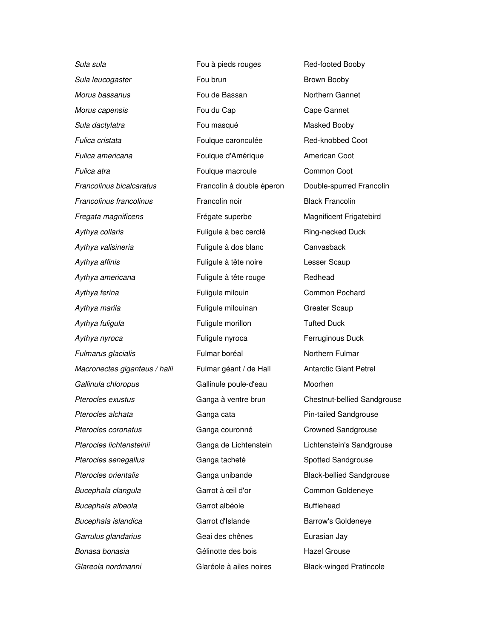Sula sula Fou à pieds rouges Red-footed Booby Sula leucogaster **Fou brun** Fou brun Booby Morus bassanus Fou de Bassan Northern Gannet Morus capensis **Fou du Cap** Fou du Cap Cape Gannet Sula dactylatra Fou masqué Masked Booby Fulica cristata **Foulque caronculée** Red-knobbed Coot Fulica americana **Foulque d'Amérique** American Coot Fulica atra **Francia Execute** Foulque macroule **Common Coot** Francolinus bicalcaratus Francolin à double éperon Double-spurred Francolin Francolinus francolinus Francolin noir Black Francolin Fregata magnificens Frégate superbe Magnificent Frigatebird Aythya collaris **Fuligule à bec cerclé** Ring-necked Duck Aythya valisineria **Fuligule à dos blanc** Canvasback Aythya affinis **Automagne is a Community Contract Contract Contract Contract Contract Contract Contract Contract Contract Contract Contract Contract Contract Contract Contract Contract Contract Contract Contract Contract C** Aythya americana **Fuligule à tête rouge** Redhead Aythya ferina **Fuligule milouin** Common Pochard Aythya marila **Fuligule milouinan** Greater Scaup Aythya fuligula **Fuligule morillon** Tufted Duck Aythya nyroca **Fuliqule nyroca** Ferruginous Duck Fulmarus glacialis Fulmar boréal Charles Northern Fulmar Macronectes giganteus / halli Fulmar géant / de Hall Antarctic Giant Petrel Gallinula chloropus Gallinule poule-d'eau Moorhen Pterocles exustus Ganga à ventre brun Chestnut-bellied Sandgrouse Pterocles alchata Ganga cata Pin-tailed Sandgrouse Pterocles coronatus **Ganga couronné** Crowned Sandgrouse Pterocles lichtensteinii Ganga de Lichtenstein Lichtenstein's Sandgrouse Pterocles senegallus Ganga tacheté Spotted Sandgrouse Pterocles orientalis **Ganga** unibande Black-bellied Sandgrouse Bucephala clangula **Garrot à œil d'or** Common Goldeneye Bucephala albeola **Bucephala albeola** Garrot albéole **Bufflehead** Bucephala islandica **Garrot d'Islande** Barrow's Goldeneye Garrulus glandarius Ceai des chênes Eurasian Jay Bonasa bonasia Gélinotte des bois Hazel Grouse Glareola nordmanni **Glaréole à ailes noires** Black-winged Pratincole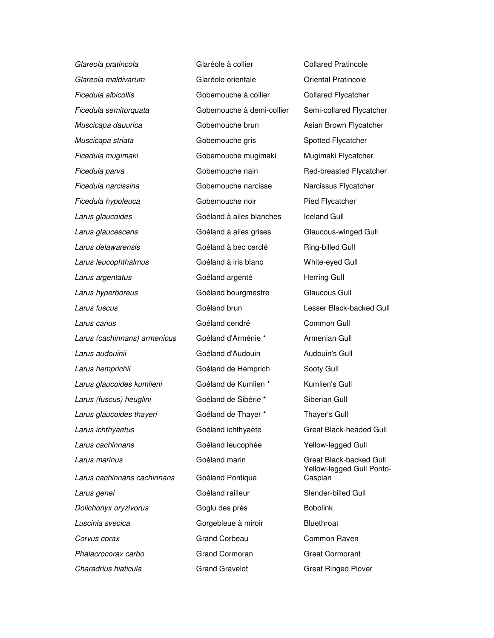Glareola maldivarum Glaréole orientale Oriental Pratincole Ficedula albicollis **Gobemouche** à collier Collared Flycatcher Ficedula semitorquata Gobemouche à demi-collier Semi-collared Flycatcher Muscicapa dauurica Gobemouche brun Asian Brown Flycatcher Muscicapa striata **Muscicapa striata** Gobemouche gris Spotted Flycatcher Ficedula mugimaki Gobemouche mugimaki Mugimaki Flycatcher Ficedula parva Gobemouche nain Red-breasted Flycatcher Ficedula narcissina Gobemouche narcisse Narcissus Flycatcher Ficedula hypoleuca Gobemouche noir Pied Flycatcher Larus glaucoides **Coéland à ailes blanches** Iceland Gull Larus glaucescens Goéland à ailes grises Glaucous-winged Gull Larus delawarensis **Coéland à bec cerclé** Ring-billed Gull Larus leucophthalmus Goéland à iris blanc White-eyed Gull Larus argentatus **Coéland argenté** Herring Gull Larus hyperboreus **Coéland bourgmestre** Glaucous Gull Larus fuscus Goéland brun Lesser Black-backed Gull Larus canus Goéland cendré Common Gull Larus (cachinnans) armenicus Goéland d'Arménie \* Armenian Gull Larus audouinii Goéland d'Audouin Audouin's Gull Larus hemprichii Goéland de Hemprich Sooty Gull Larus glaucoides kumlieni Goéland de Kumlien \* Kumlien's Gull Larus (fuscus) heuglini Goéland de Sibérie \* Siberian Gull Larus glaucoides thayeri Goéland de Thayer \* Thayer's Gull Larus ichthyaetus **Goéland ichthyaète** Great Black-headed Gull Larus cachinnans Goéland leucophée Yellow-legged Gull Larus marinus Goéland marin Great Black-backed Gull Larus cachinnans cachinnans Goéland Pontique Larus genei Goéland railleur Slender-billed Gull Dolichonyx oryzivorus Coglu des prés Bobolink Luscinia svecica **Constanting Constanting Constanting Constanting Constanting Constanting Constanting Constanting Constanting Constanting Constanting Constanting Constanting Constanting Constanting Constanting Constanting** Corvus corax Grand Corbeau Common Raven Phalacrocorax carbo Grand Cormoran Great Cormorant

Glareola pratincola **Glaréole à collier** Collared Pratincole Charadrius hiaticula **Grand Gravelot** Great Ringed Plover

Yellow-legged Gull Ponto-Caspian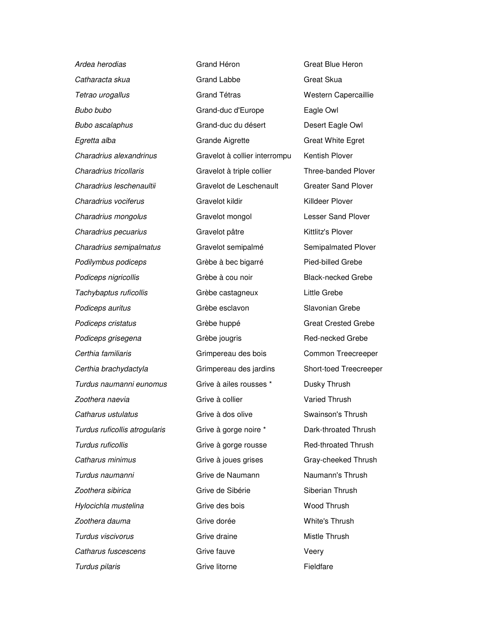Catharacta skua Grand Labbe Great Skua Tetrao urogallus Grand Tétras Western Capercaillie Bubo bubo **Grand-duc d'Europe** Eagle Owl Bubo ascalaphus Grand-duc du désert Desert Eagle Owl Egretta alba Grande Aigrette Great White Egret Charadrius alexandrinus Gravelot à collier interrompu Kentish Plover Charadrius tricollaris Gravelot à triple collier Three-banded Plover Charadrius leschenaultii Gravelot de Leschenault Greater Sand Plover Charadrius vociferus Charadrius Charadrius vociferus Charadrius Charadrius Charadrius Character Character Char Charadrius mongolus Gravelot mongol Lesser Sand Plover Charadrius pecuarius Gravelot pâtre Kittlitz's Plover Charadrius semipalmatus Gravelot semipalmé Semipalmated Plover Podilymbus podiceps Grèbe à bec bigarré Pied-billed Grebe Podiceps nigricollis **Grèbe à cou noir** Black-necked Grebe Tachybaptus ruficollis Grèbe castagneux Little Grebe Podiceps auritus Crèbe esclavon Crebe Slavonian Grebe Podiceps cristatus **Grèbe huppé** Grèbe huppé Great Crested Grebe Podiceps grisegena Crèbe jougris Red-necked Grebe Certhia familiaris **Calculation Common Contract Common Treecreeper** Grimpereau des bois Common Treecreeper Certhia brachydactyla Grimpereau des jardins Short-toed Treecreeper Turdus naumanni eunomus Grive à ailes rousses \* Dusky Thrush Zoothera naevia Contraction Crive à collier Contraction Varied Thrush Catharus ustulatus Grive à dos olive Catharus and Swainson's Thrush Turdus ruficollis atrogularis Grive à gorge noire \* Dark-throated Thrush Turdus ruficollis **Turdus** Crive à gorge rousse Red-throated Thrush Catharus minimus Grive à joues grises Gray-cheeked Thrush Turdus naumanni Grive de Naumann Naumann's Thrush Zoothera sibirica **Communisties** Grive de Sibérie **Siberian Thrush** Hylocichla mustelina Grive des bois Wood Thrush Zoothera dauma Grive dorée White's Thrush Turdus viscivorus Crive draine Crive draine Mistle Thrush Catharus fuscescens Grive fauve Catharus Veery

Ardea herodias Grand Héron Great Blue Heron Turdus pilaris **Fieldfare** Grive litorne **Fieldfare**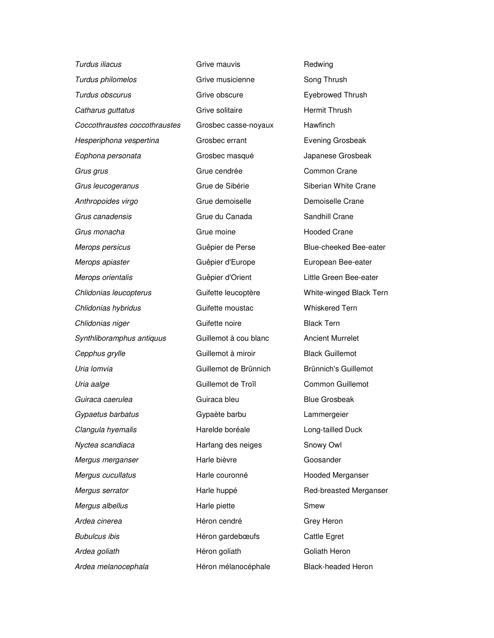| Turdus iliacus                | Grive mauvis          | Redwing                 |
|-------------------------------|-----------------------|-------------------------|
| Turdus philomelos             | Grive musicienne      | Song Thrush             |
| Turdus obscurus               | Grive obscure         | Eyebrowed Thrush        |
| Catharus guttatus             | Grive solitaire       | <b>Hermit Thrush</b>    |
| Coccothraustes coccothraustes | Grosbec casse-noyaux  | Hawfinch                |
| Hesperiphona vespertina       | Grosbec errant        | Evening Grosbeak        |
| Eophona personata             | Grosbec masqué        | Japanese Grosbeak       |
| Grus grus                     | Grue cendrée          | Common Crane            |
| Grus leucogeranus             | Grue de Sibérie       | Siberian White Crane    |
| Anthropoides virgo            | Grue demoiselle       | Demoiselle Crane        |
| Grus canadensis               | Grue du Canada        | Sandhill Crane          |
| Grus monacha                  | Grue moine            | <b>Hooded Crane</b>     |
| Merops persicus               | Guêpier de Perse      | Blue-cheeked Bee-ea     |
| Merops apiaster               | Guêpier d'Europe      | European Bee-eater      |
| Merops orientalis             | Guêpier d'Orient      | Little Green Bee-eate   |
| Chlidonias leucopterus        | Guifette leucoptère   | White-winged Black      |
| Chlidonias hybridus           | Guifette moustac      | <b>Whiskered Tern</b>   |
| Chlidonias niger              | Guifette noire        | <b>Black Tern</b>       |
| Synthliboramphus antiquus     | Guillemot à cou blanc | <b>Ancient Murrelet</b> |
| Cepphus grylle                | Guillemot à miroir    | <b>Black Guillemot</b>  |
| Uria lomvia                   | Guillemot de Brünnich | Brünnich's Guillemot    |
| Uria aalge                    | Guillemot de Troïl    | Common Guillemot        |
| Guiraca caerulea              | Guiraca bleu          | <b>Blue Grosbeak</b>    |
| Gypaetus barbatus             | Gypaète barbu         | Lammergeier             |
| Clangula hyemalis             | Harelde boréale       | Long-tailled Duck       |
| Nyctea scandiaca              | Harfang des neiges    | Snowy Owl               |
| Mergus merganser              | Harle bièvre          | Goosander               |
| Mergus cucullatus             | Harle couronné        | <b>Hooded Merganser</b> |
| Mergus serrator               | Harle huppé           | Red-breasted Mergar     |
| Mergus albellus               | Harle piette          | Smew                    |
| Ardea cinerea                 | Héron cendré          | Grey Heron              |
| <b>Bubulcus ibis</b>          | Héron gardebœufs      | Cattle Egret            |
| Ardea goliath                 | Héron goliath         | Goliath Heron           |
| Ardea melanocephala           | Héron mélanocéphale   | Black-headed Heron      |

uvis **Grive manufacture manufacture manufacture manufacture manufacture manufacture manufacture manufacture ma** sicienne Song Thrush Scure **Eyebrowed Thrush** taire **Grive solitaire** solitaire solitaire solitaire solitaire solitaire solitaire solitaire solitaire solitair casse-noyaux Hawfinch errant Evening Grosbeak masqué Japanese Grosbeak drée Common Crane Sibérie **Siberian White Crane** noiselle **Crane** Demoiselle Crane Canada **Sandhill Crane** ne Grue Mooded Crane de Perse Blue-cheeked Bee-eater d'Europe **European Bee-eater** I'Orient Little Green Bee-eater eucoptère **Chlidonias Chlidonias Chlidonia**s White-winged Black Tern noustac **Whiskered Tern Childrenia**<br>
Childrenias **Childrenia**<br>
Black Tern à cou blanc Ancient Murrelet à miroir **Black Guillemot** de Brünnich Brünnich's Guillemot de Troïl Common Guillemot bleu **Blue Grosbeak** barbu Lammergeier oréale **Long-tailled Duck** des neiges Snowy Owl wre Goosander Ironné **Merganser** Hooded Merganser pé **Red-breasted Merganser** ndré **cineral cineral Grey Heron** rdebœufs **Cattle Egret** Ardea goliath Héron goliath Goliath Heron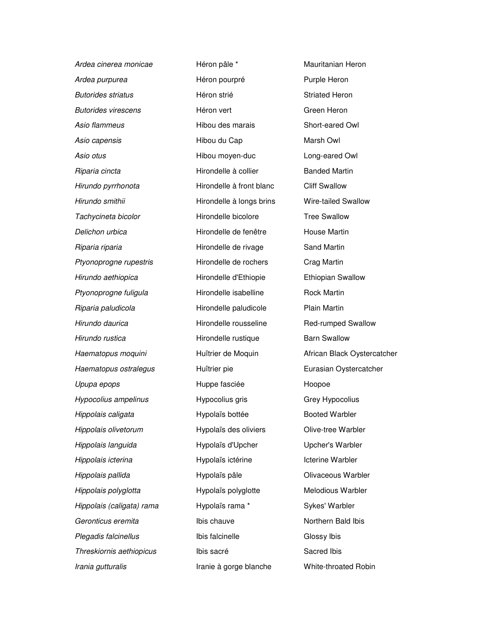Ardea cinerea monicae Héron pâle \* Mauritanian Heron Ardea purpurea en el Héron pourpré de Purple Heron Butorides striatus **Eutoriatus** Héron strié **Marin Striated Heron** Butorides virescens and Heron vert and Green Heron Asio flammeus Hibou des marais Short-eared Owl Asio capensis **Asio Capensis** Hibou du Cap Marsh Owl Asio otus **Asio otus** Hibou moyen-duc Long-eared Owl Riparia cincta **Hirondelle à collier** Banded Martin Hirundo pyrrhonota 
Hirondelle à front blanc

Cliff Swallow Hirundo smithii **Hirondelle à longs brins** Wire-tailed Swallow Tachycineta bicolor **Hirondelle bicolore** Tree Swallow Delichon urbica entity of the Hirondelle de fenêtre House Martin Riparia riparia de rivage de rivage Sand Martin Ptyonoprogne rupestris Firondelle de rochers Crag Martin Hirundo aethiopica **Hirondelle d'Ethiopie** Ethiopian Swallow Ptyonoprogne fuligula entity of Hirondelle isabelline Rock Martin Riparia paludicola e controversi e Hirondelle paludicole e Plain Martin Hirundo daurica 
Hirondelle rousseline Red-rumped Swallow Hirundo rustica e de este de Hirondelle rustique Barn Swallow Haematopus moquini **Huitrier de Moquin** African Black Oystercatcher Haematopus ostralegus **Huîtrier pie** Furasian Oystercatcher Upupa epops **Huppe fasciée** Hoopoe Hypocolius ampelinus Hypocolius gris Grey Hypocolius Hippolais caligata **Hypolaïs bottée** Booted Warbler Hippolais olivetorum **Hypolaïs des oliviers** Olive-tree Warbler Hippolais languida **Hypolaïs d'Upcher de L'Alpolaïs** d'Upcher Upcher's Warbler Hippolais icterina **Hypolaïs** ictérine **Interpretatal Hypolaïs** ictérine **Icterine Warbler** Hippolais pallida **Hypolaïs pâle** Hypolaïs pâle **Clivaceous Warbler** Hippolais polyglotta **Hypolaïs polyglotte** Melodious Warbler Hippolais (caligata) rama helypolaïs rama \* Sykes' Warbler Geronticus eremita **Ibis chauve** Ibis chauve Northern Bald Ibis Plegadis falcinellus Ibis falcinelle Glossy Ibis Threskiornis aethiopicus ibis sacré in Sacred Ibis

Irania gutturalis **Iranie à gorge blanche** White-throated Robin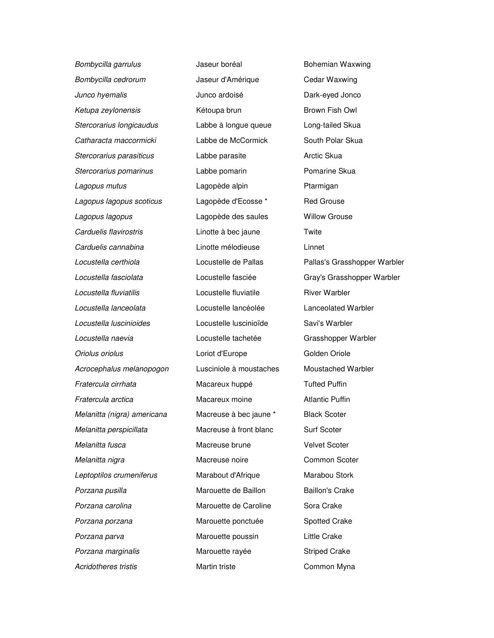Bombycilla garrulus **Bombycilla garrulus** Jaseur boréal **Bohemian Waxwing** Bombycilla cedrorum Jaseur d'Amérique Cedar Waxwing Junco hyemalis Junco ardoisé Dark-eyed Jonco Ketupa zeylonensis **Kétoupa brun** Brown Fish Owl Stercorarius longicaudus Labbe à longue queue Long-tailed Skua Catharacta maccormicki a Labbe de McCormick South Polar Skua Stercorarius parasiticus Labbe parasite Arctic Skua Stercorarius pomarinus et albbe pomarin and the Pomarine Skua Lagopus mutus **Lagopède** alpin **Ptarmigan** Lagopus lagopus scoticus Lagopède d'Ecosse \* Red Grouse Lagopus lagopus **Lagopède des saules** Willow Grouse Carduelis flavirostris Linotte à bec jaune Twite Carduelis cannabina Linotte mélodieuse Linnet Locustella fluviatilis Locustelle fluviatile River Warbler Locustella lanceolata Locustelle lancéolée Lanceolated Warbler Locustella luscinioides Locustelle luscinioïde Savi's Warbler Locustella naevia Locustelle tachetée Grasshopper Warbler Oriolus oriolus Loriot d'Europe Golden Oriole Acrocephalus melanopogon Lusciniole à moustaches Moustached Warbler Fratercula cirrhata mentropolisa Macareux huppé de la Tufted Puffin Fratercula arctica Macareux moine Atlantic Puffin Melanitta (nigra) americana Macreuse à bec jaune \* Black Scoter Melanitta perspicillata Macreuse à front blanc Surf Scoter Melanitta fusca Macreuse brune Velvet Scoter Melanitta nigra **Macreuse noire** Macreuse noire **Common Scoter** Leptoptilos crumeniferus Marabout d'Afrique Marabou Stork Porzana pusilla **Marouette de Baillon** Baillon's Crake Porzana carolina **Marouette de Caroline** Sora Crake Porzana porzana **Marouette ponctuée** Spotted Crake Porzana parva **Marouette** poussin Little Crake Porzana marginalis **Marouette rayée** Striped Crake Acridotheres tristis **Martin triste** Common Myna

Locustella certhiola **Locustelle de Pallas** Pallas's Grasshopper Warbler Locustella fasciolata Locustelle fasciée Gray's Grasshopper Warbler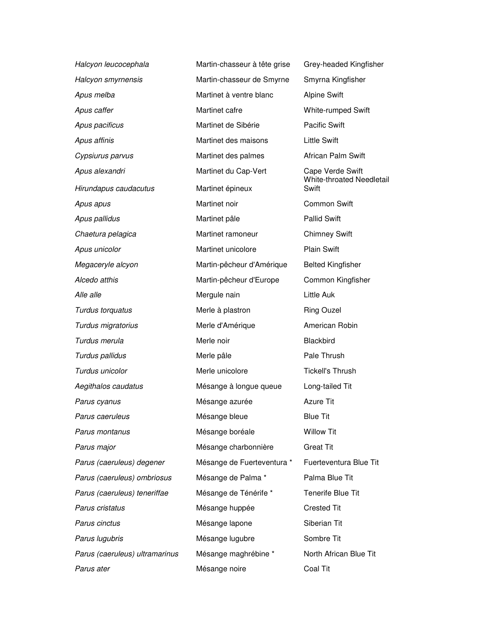| Halcyon leucocephala           | Martin-chasseur à tête grise | Grey-hea              |
|--------------------------------|------------------------------|-----------------------|
| Halcyon smyrnensis             | Martin-chasseur de Smyrne    | Smyrna k              |
| Apus melba                     | Martinet à ventre blanc      | Alpine Sv             |
| Apus caffer                    | Martinet cafre               | White-rur             |
| Apus pacificus                 | Martinet de Sibérie          | Pacific Sy            |
| Apus affinis                   | Martinet des maisons         | <b>Little Swit</b>    |
| Cypsiurus parvus               | Martinet des palmes          | African Pa            |
| Apus alexandri                 | Martinet du Cap-Vert         | Cape Ver              |
| Hirundapus caudacutus          | Martinet épineux             | White-thr<br>Swift    |
| Apus apus                      | Martinet noir                | Common                |
| Apus pallidus                  | Martinet pâle                | Pallid Sw             |
| Chaetura pelagica              | Martinet ramoneur            | Chimney               |
| Apus unicolor                  | Martinet unicolore           | <b>Plain Swi</b>      |
| Megaceryle alcyon              | Martin-pêcheur d'Amérique    | <b>Belted Kir</b>     |
| Alcedo atthis                  | Martin-pêcheur d'Europe      | Common                |
| Alle alle                      | Mergule nain                 | <b>Little Auk</b>     |
| Turdus torquatus               | Merle à plastron             | <b>Ring Ouz</b>       |
| Turdus migratorius             | Merle d'Amérique             | American              |
| Turdus merula                  | Merle noir                   | Blackbird             |
| Turdus pallidus                | Merle pâle                   | Pale Thru             |
| Turdus unicolor                | Merle unicolore              | Tickell's 1           |
| Aegithalos caudatus            | Mésange à longue queue       | Long-taile            |
| Parus cyanus                   | Mésange azurée               | <b>Azure Tit</b>      |
| Parus caeruleus                | Mésange bleue                | <b>Blue Tit</b>       |
| Parus montanus                 | Mésange boréale              | <b>Willow Tit</b>     |
| Parus major                    | Mésange charbonnière         | <b>Great Tit</b>      |
| Parus (caeruleus) degener      | Mésange de Fuerteventura *   | Fuertever             |
| Parus (caeruleus) ombriosus    | Mésange de Palma *           | Palma Bl              |
| Parus (caeruleus) teneriffae   | Mésange de Ténérife *        | Tenerife I            |
| Parus cristatus                | Mésange huppée               | Crested <sub>1</sub>  |
| Parus cinctus                  | Mésange lapone               | Siberian <sup>-</sup> |
| Parus lugubris                 | Mésange lugubre              | Sombre <sub>1</sub>   |
| Parus (caeruleus) ultramarinus | Mésange maghrébine *         | North Afri            |
| Parus ater                     | Mésange noire                | Coal Tit              |

Grey-headed Kingfisher Smyrna Kingfisher Alpine Swift White-rumped Swift Pacific Swift Little Swift African Palm Swift Cape Verde Swift White-throated Needletail Swift Common Swift Pallid Swift Chimney Swift Plain Swift Belted Kingfisher Common Kingfisher Little Auk Ring Ouzel American Robin **Blackbird** Pale Thrush Tickell's Thrush Long-tailed Tit Azure Tit **Willow Tit** Fuerteventura Blue Tit Palma Blue Tit Tenerife Blue Tit **Prested Tit** Siberian Tit Sombre Tit North African Blue Tit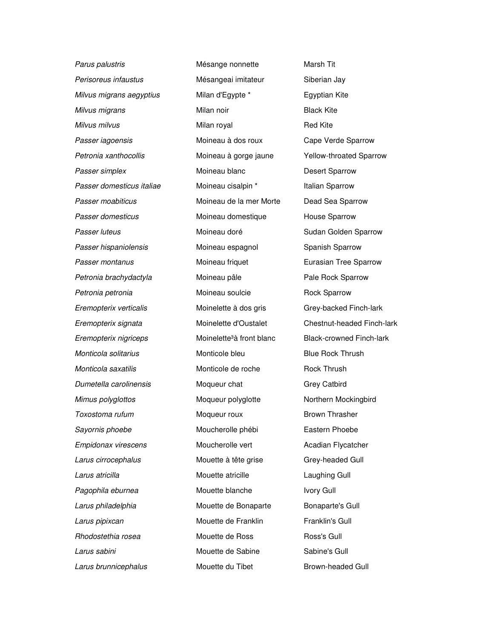Parus palustris The Mésange nonnette Marsh Tit Perisoreus infaustus **Mésangeai imitateur** Siberian Jay Milvus migrans aegyptius Milan d'Egypte \* Egyptian Kite Milvus migrans **Milan noir** Milan noir **Black Kite** Milvus milvus **Milan royal** Milan royal Red Kite Passer iagoensis **Exercice Sparrow** Moineau à dos roux Cape Verde Sparrow Petronia xanthocollis Moineau à gorge jaune Yellow-throated Sparrow Passer simplex **Moineau blanc** Desert Sparrow Passer domesticus italiae Moineau cisalpin \* Italian Sparrow Passer moabiticus Moineau de la mer Morte Dead Sea Sparrow Passer domesticus Moineau domestique House Sparrow Passer luteus Moineau doré Sudan Golden Sparrow Passer hispaniolensis **Moineau espagnol** Spanish Sparrow Passer montanus **Moineau friquet** Eurasian Tree Sparrow Petronia brachydactyla **Moineau pâle Charloch Charloch** Pale Rock Sparrow Petronia petronia metronia e controversi Moineau soulcie controversi Rock Sparrow Eremopterix verticalis Moinelette à dos gris Grey-backed Finch-lark Eremopterix signata Moinelette d'Oustalet Chestnut-headed Finch-lark Eremopterix nigriceps Moinelette<sup>3</sup>à front blanc Black-crowned Finch-lark Monticola solitarius **Monticole bleu** Blue Rock Thrush Monticola saxatilis Monticole de roche Rock Thrush Dumetella carolinensis and Moqueur chat Grey Catbird Mimus polyglottos Moqueur polyglotte Northern Mockingbird Toxostoma rufum **Moqueur roux** Brown Thrasher Sayornis phoebe **Moucherolle** phébi **Eastern Phoebe** Empidonax virescens Moucherolle vert Acadian Flycatcher Larus cirrocephalus **Mouette à tête grise** Grey-headed Gull Larus atricilla **Mouette** atricille Laughing Gull Pagophila eburnea Mouette blanche Ivory Gull Larus philadelphia **Mouette de Bonaparte** Bonaparte's Gull Larus pipixcan **Mouette de Franklin** Franklin's Gull Rhodostethia rosea Mouette de Ross Ross's Gull Larus sabini Mouette de Sabine Sabine's Gull

Larus brunnicephalus **Mouette du Tibet** Brown-headed Gull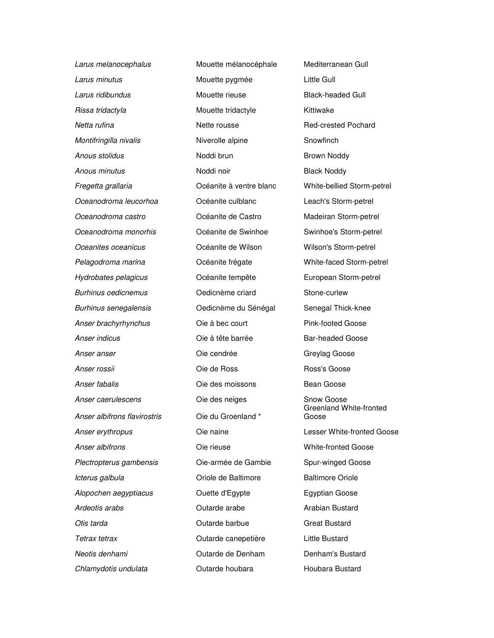Larus melanocephalus Mouette mélanocéphale Mediterranean Gull Larus minutus **Mouette** pygmée Little Gull Larus ridibundus Mouette rieuse Black-headed Gull Rissa tridactyla **Mouette** tridactyle Kittiwake Netta rufina Mette rousse Red-crested Pochard Montifringilla nivalis **Niverolle** alpine Snowfinch Anous stolidus **Anous Stolidus** Noddi brun Brown Noddy Anous minutus **Noddi** noir **Noddi** noir **Black Noddy** Fregetta grallaria Océanite à ventre blanc White-bellied Storm-petrel Oceanodroma leucorhoa Océanite culblanc Leach's Storm-petrel Oceanodroma castro Océanite de Castro Madeiran Storm-petrel Oceanodroma monorhis  $Oce$ anite de Swinhoe Swinhoe's Storm-petrel Oceanites oceanicus Océanite de Wilson Wilson's Storm-petrel Pelagodroma marina Océanite frégate White-faced Storm-petrel Hydrobates pelagicus Océanite tempête European Storm-petrel Burhinus oedicnemus **Cedicnème criard** Stone-curlew Burhinus senegalensis **Senegal Senegal Senegal Thick-knee** Cedicnème du Sénégal Senegal Thick-knee Anser brachyrhynchus **Oie à bec court** Pink-footed Goose Anser indicus Cie à tête barrée **Bar-headed Goose** Anser anser Contract Communication Contract Contract Contract Contract Contract Contract Contract Contract Contract Contract Contract Contract Contract Contract Contract Contract Contract Contract Contract Contract Contrac Anser rossii Oie de Ross Ross's Goose Anser fabalis **Anser fabalis** Oie des moissons Bean Goose Anser caerulescens Cie des neiges Snow Goose Anser albifrons flavirostris Cie du Groenland \* Anser erythropus Oie naine Lesser White-fronted Goose Anser albifrons Oie rieuse White-fronted Goose Plectropterus gambensis Cie-armée de Gambie Spur-winged Goose Icterus galbula **Interpretista Coriole de Baltimore** Baltimore Oriole Alopochen aegyptiacus **Cuette d'Egypte** Egyptian Goose Ardeotis arabs **Arabian Bustarde Outarde arabe** Arabian Bustard Otis tarda Outarde barbue Great Bustard Tetrax tetrax Outarde canepetière Little Bustard Neotis denhami Outarde de Denham Denham's Bustard Chlamydotis undulata Outarde houbara Houbara Bustard

Greenland White-fronted Goose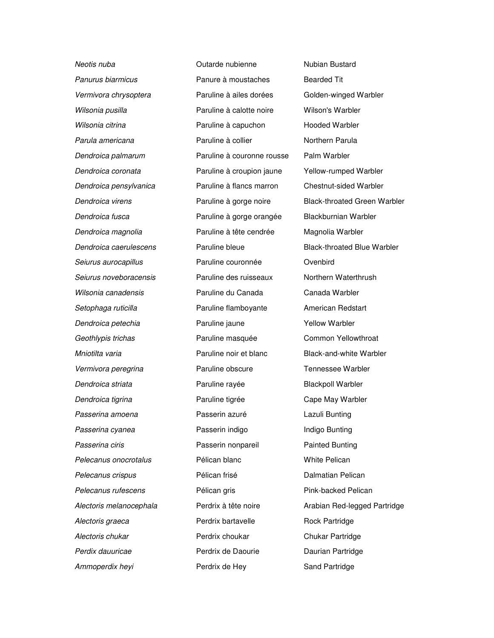Panurus biarmicus Panure à moustaches Bearded Tit Dendroica palmarum Paruline à couronne rousse Palm Warbler Dendroica coronata Paruline à croupion jaune Yellow-rumped Warbler Dendroica pensylvanica Paruline à flancs marron Chestnut-sided Warbler Seiurus aurocapillus **Paruline couronnée** Covenbird Mniotilta varia **Paruline noir et blanc** Black-and-white Warbler Dendroica tigrina **Paruline tigrée** Cape May Warbler Passerina ciris **Passerin** Passerin nonpareil **Painted Bunting** Pelecanus crispus **Pélican frisé** de la palmatian Pelican Pelican Pelican Pelican Pelican Pelican Pelican Pelican Pelican Pelican Pelican Pelican Pelican Pelican Pelican Pelican Pelican Pelican Pelican Pelican Pelican Peli Pelecanus rufescens **Pélican gris** Pelican gris Pink-backed Pelican Alectoris graeca **Perdrix bartavelle** Rock Partridge Alectoris chukar **Perdrix choukar** Perdrix choukar Chukar Partridge Perdix dauuricae **Perdrix de Daourie** Perdrix de Daourie Daurian Partridge

Neotis nuba Outarde nubienne Nubian Bustard Vermivora chrysoptera **Paruline à ailes dorées** Golden-winged Warbler Wilsonia pusilla **Paruline à calotte noire** Wilson's Warbler Wilsonia citrina etteritude di Paruline à capuchon de Hooded Warbler Parula americana **Paruline à collier** Parula en Dorthern Parula Dendroica fusca Paruline à gorge orangée Blackburnian Warbler Dendroica magnolia Paruline à tête cendrée Magnolia Warbler Seiurus noveboracensis entity Paruline des ruisseaux enterthrush Northern Waterthrush Wilsonia canadensis **Paruline du Canada** Canada Warbler Setophaga ruticilla Paruline flamboyante American Redstart Dendroica petechia e contra Paruline jaune e contra Vellow Warbler Geothlypis trichas **Paruline masquée** Common Yellowthroat Vermivora peregrina 
and the Paruline obscure Tennessee Warbler Dendroica striata **Paruline rayée** Blackpoll Warbler Passerina amoena Passerin azuré Lazuli Bunting Passerina cyanea **Passerin** Passerin indigo **Indigo** Bunting Pelecanus onocrotalus Pélican blanc White Pelican Ammoperdix heyi **Perdrix de Hey** Sand Partridge

Dendroica virens Paruline à gorge noire Black-throated Green Warbler Dendroica caerulescens Paruline bleue Black-throated Blue Warbler Alectoris melanocephala **Perdrix à tête noire** Arabian Red-legged Partridge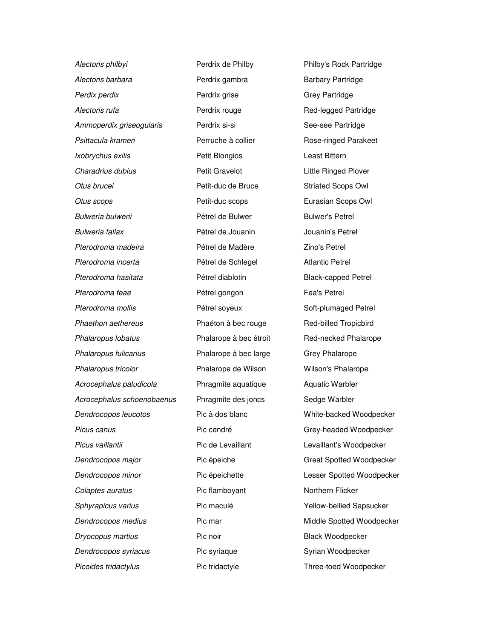| Alectoris philbyi          | Per  |
|----------------------------|------|
| Alectoris barbara          | Per  |
| Perdix perdix              | Per  |
| Alectoris rufa             | Per  |
| Ammoperdix griseogularis   | Per  |
| Psittacula krameri         | Per  |
| Ixobrychus exilis          | Peti |
| Charadrius dubius          | Peti |
| Otus brucei                | Peti |
| Otus scops                 | Peti |
| Bulweria bulwerii          | Péti |
| Bulweria fallax            | Péti |
| Pterodroma madeira         | Péti |
| Pterodroma incerta         | Péti |
| Pterodroma hasitata        | Péti |
| Pterodroma feae            | Péti |
| Pterodroma mollis          | Péti |
| Phaethon aethereus         | Pha  |
| Phalaropus lobatus         | Pha  |
| Phalaropus fulicarius      | Pha  |
| Phalaropus tricolor        | Pha  |
| Acrocephalus paludicola    | Phr  |
| Acrocephalus schoenobaenus | Phr  |
| Dendrocopos leucotos       | Pic  |
| Picus canus                | Pic  |
| Picus vaillantii           | Pic  |
| Dendrocopos major          | Pic  |
| Dendrocopos minor          | Pic  |
| Colaptes auratus           | Pic  |
| Sphyrapicus varius         | Pic  |
| Dendrocopos medius         | Pic  |
| Dryocopus martius          | Pic  |
| Dendrocopos syriacus       | Pic  |
| Picoides tridactylus       | Pic  |

Perdix perdix Perdrix grise Grey Partridge it Blongios **Exilis Exilis Petit Bittern** rel de Bulwer **Bulwer's Petrel** rel de Madère **Madère Entrel Zino's Petrel** rel de Schlegel **Atlantic Petrel** Pea's Petrel gongon Fea's Petrel alarope à bec large **Fullicary Grey Phalarope** agmite des joncs Sedge Warbler

drix de Philby **Philby's Rock Partridge** drix gambra **Barbary Partridge** drix rouge **Red-legged Partridge** drix si-si **Ammung See-see Partridge** ruche à collier **Rose-ringed Parakeet** it Gravelot **Little Ringed Plover** it-duc de Bruce **Communist** Striated Scops Owl it-duc scops **Petit-duc scops Petit-duc scops** Owl rel de Jouanin **Fallace Europe de Jouanin's Petrel** rel diablotin **Registal Black-capped Petrel** rel soyeux Soft-plumaged Petrel eton à bec rouge Red-billed Tropicbird larope à bec étroit Red-necked Phalarope larope de Wilson **Wilson's Phalarope** agmite aquatique **Aquatic Warbler** à dos blanc **Exercise State White-backed Woodpecker** cendré Cendré Grey-headed Woodpecker de Levaillant **Levaillant's Woodpecker** épeiche Great Spotted Woodpecker épeichette **Lesser Spotted Woodpecker** flamboyant Northern Flicker maculé  $V$ ellow-bellied Sapsucker mar **Dendrocopolis Middle Spotted Woodpecker** noir **Black Woodpecker** syriaque **Syrian Woodpecker** tridactyle **Picolary Picolary Picolary Picolary Picolary Picolary Picolary Picolary Picolary Picolary Picolary**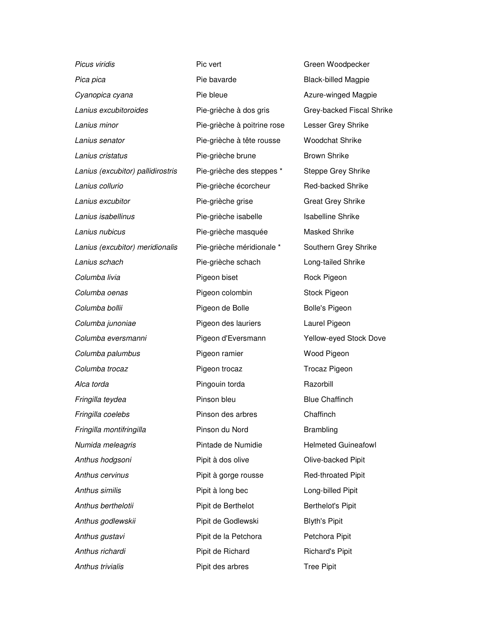Picus viridis **Pickers** Pic vert **Green Woodpecker** Green Woodpecker Pica pica **Pica pica Reserve Alle Structure Pie bavarde** Black-billed Magpie Cyanopica cyana **Pie bleue** Pie bleue Azure-winged Magpie Lanius excubitoroides Tie-grièche à dos gris Grey-backed Fiscal Shrike Lanius minor Pie-grièche à poitrine rose Lesser Grey Shrike Lanius senator The Pie-grièche à tête rousse Woodchat Shrike Lanius cristatus **Exercise Exercise** Pie-grièche brune Brown Shrike Lanius (excubitor) pallidirostris Pie-grièche des steppes \* Steppe Grey Shrike Lanius collurio **Pie-grièche écorcheur** Red-backed Shrike Lanius excubitor Pie-grièche grise Great Grey Shrike Lanius isabellinus **Pie-grièche isabelle** Isabelline Shrike Lanius nubicus Pie-grièche masquée Masked Shrike Lanius (excubitor) meridionalis Pie-grièche méridionale \* Southern Grey Shrike Lanius schach Pie-grièche schach Long-tailed Shrike Columba livia **Pigeon biset** Rock Pigeon biset Columba oenas **Pigeon colombin** Stock Pigeon Columba bollii **Netical Exercise Bolle** Pigeon de Bolle **Bolle's Pigeon** Columba junoniae **Pigeon des lauriers** Laurel Pigeon Columba eversmanni Pigeon d'Eversmann Yellow-eyed Stock Dove Columba palumbus **Pigeon ramier** Wood Pigeon Columba trocaz Pigeon trocaz Trocaz Pigeon Alca torda **Pingouin** torda Razorbill Fringilla teydea **Pinson bleu** Pinson bleu Blue Chaffinch Fringilla coelebs Pinson des arbres Chaffinch Fringilla montifringilla **Pinson du Nord** Brambling Numida meleagris **Numidia en Contrade de Numidie** Helmeted Guineafowl Anthus hodgsoni **Pipit à dos olive Colive-backed Pipit** Anthus hodgsoni Anthus cervinus **Anthus cervinus** Pipit à gorge rousse Red-throated Pipit Anthus similis **Anthus similis** Pipit à long bec Long-billed Pipit Anthus berthelotii **Anthus bertheloti** Pipit de Berthelot **Berthelot's Pipit** Anthus godlewskii **Pipit de Godlewski** Blyth's Pipit Anthus gustavi **Pipit de la Petchora** Petchora Pipit Anthus richardi **Pipit de Richard Richard's Pipit** de Richard's Pipit Anthus trivialis **Anthus trivialis** Pipit des arbres Tree Pipit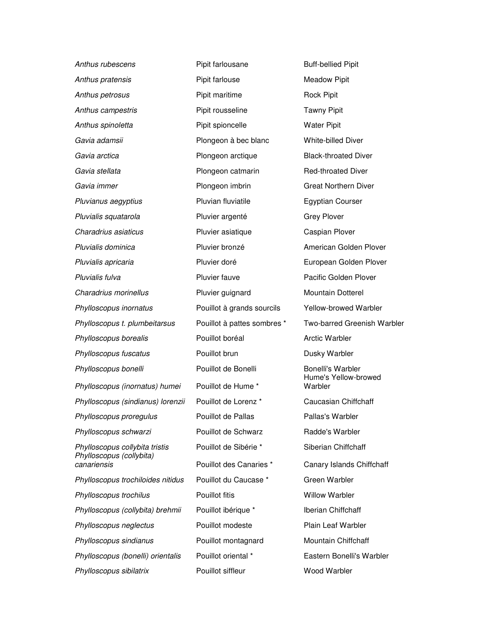| Anthus rubescens                                           | Pipit farlousane      |
|------------------------------------------------------------|-----------------------|
| Anthus pratensis                                           | Pipit farlouse        |
| Anthus petrosus                                            | Pipit maritime        |
| Anthus campestris                                          | Pipit rousseline      |
| Anthus spinoletta                                          | Pipit spioncelle      |
| Gavia adamsii                                              | Plongeon à bec blan   |
| Gavia arctica                                              | Plongeon arctique     |
| Gavia stellata                                             | Plongeon catmarin     |
| Gavia immer                                                | Plongeon imbrin       |
| Pluvianus aegyptius                                        | Pluvian fluviatile    |
| Pluvialis squatarola                                       | Pluvier argenté       |
| Charadrius asiaticus                                       | Pluvier asiatique     |
| Pluvialis dominica                                         | Pluvier bronzé        |
| Pluvialis apricaria                                        | Pluvier doré          |
| Pluvialis fulva                                            | Pluvier fauve         |
| Charadrius morinellus                                      | Pluvier guignard      |
| Phylloscopus inornatus                                     | Pouillot à grands sou |
| Phylloscopus t. plumbeitarsus                              | Pouillot à pattes som |
| Phylloscopus borealis                                      | Pouillot boréal       |
| Phylloscopus fuscatus                                      | Pouillot brun         |
| Phylloscopus bonelli                                       | Pouillot de Bonelli   |
| Phylloscopus (inornatus) humei                             | Pouillot de Hume *    |
| Phylloscopus (sindianus) lorenzii                          | Pouillot de Lorenz *  |
| Phylloscopus proregulus                                    | Pouillot de Pallas    |
| Phylloscopus schwarzi                                      | Pouillot de Schwarz   |
| Phylloscopus collybita tristis<br>Phylloscopus (collybita) | Pouillot de Sibérie * |
| canariensis                                                | Pouillot des Canarie  |
| Phylloscopus trochiloides nitidus                          | Pouillot du Caucase   |
| Phylloscopus trochilus                                     | Pouillot fitis        |
| Phylloscopus (collybita) brehmii                           | Pouillot ibérique *   |
| Phylloscopus neglectus                                     | Pouillot modeste      |
| Phylloscopus sindianus                                     | Pouillot montagnard   |
| Phylloscopus (bonelli) orientalis                          | Pouillot oriental *   |
| Phylloscopus sibilatrix                                    | Pouillot siffleur     |

**Buff-bellied Pipit Meadow Pipit Rock Pipit Tawny Pipit Water Pipit Case addam** and White-billed Diver Black-throated Diver **Red-throated Diver** Great Northern Diver **Egyptian Courser** Grey Plover Caspian Plover American Golden Plover European Golden Plover Pacific Golden Plover Mountain Dotterel Phylloscopus inornatus Pouillot à grands sourcils Yellow-browed Warbler nbres \* Two-barred Greenish Warbler Arctic Warbler Dusky Warbler Bonelli's Warbler Hume's Yellow-browed Warbler **Caucasian Chiffchaff** Pallas's Warbler Radde's Warbler Siberian Chiffchaff s<sup>\*</sup> Canary Islands Chiffchaff \* Green Warbler **Willow Warbler** Iberian Chiffchaff Plain Leaf Warbler Mountain Chiffchaff Eastern Bonelli's Warbler Wood Warbler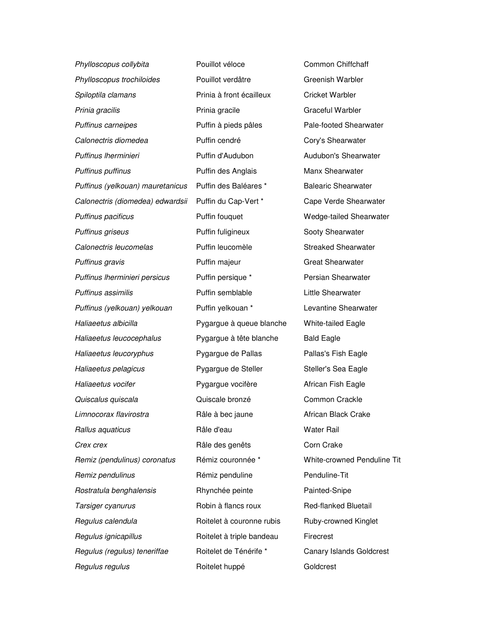Phylloscopus collybita **Pouillot** véloce Common Chiffchaff Phylloscopus trochiloides Pouillot verdâtre Greenish Warbler Spiloptila clamans **Prinia à front écailleux** Cricket Warbler Prinia gracilis **Princia gracile** Prinia gracile Graceful Warbler Puffinus carneipes **Puffin** a pieds pâles Pale-footed Shearwater Calonectris diomedea **Calonectris diomedea** Puffin cendré **Cory's Shearwater** Puffinus Iherminieri **Puffin d'Audubon** Audubon's Shearwater Puffinus puffinus **Puffinity** Puffin des Anglais Manx Shearwater Puffinus (yelkouan) mauretanicus Puffin des Baléares \* Balearic Shearwater Calonectris (diomedea) edwardsii Puffin du Cap-Vert \* Cape Verde Shearwater Puffinus pacificus **Puffin** Fouquet **Puffin** fouquet Wedge-tailed Shearwater Puffinus griseus **Puffin** Fuffin fuligineux **Sooty Shearwater** Sooty Shearwater Calonectris leucomelas Puffin leucomèle Streaked Shearwater Puffinus gravis **Puffin majeur** Great Shearwater Puffinus Iherminieri persicus Puffin persique \* Persian Shearwater Puffinus assimilis **Puffin** semblable **Puffin** semblable Little Shearwater Puffinus (yelkouan) yelkouan Puffin yelkouan \* Levantine Shearwater Haliaeetus albicilla **Pygargue à queue blanche** White-tailed Eagle Haliaeetus leucocephalus Pygargue à tête blanche Bald Eagle Haliaeetus leucoryphus Pygargue de Pallas Pallas's Fish Eagle Haliaeetus pelagicus **Brand Constantine Constantine Constantine Constantine Constantine Constantine Constantine Constantine Constantine Constantine Constantine Constantine Constantine Constantine Constantine Constantine Co** Haliaeetus vocifer **African Exercicial Exercic** Pygargue vocifère **African Fish Eagle** Quiscalus quiscala Quiscale bronzé Common Crackle Limnocorax flavirostra **Râle à bec jaune** African Black Crake Rallus aquaticus **Râle d'eau** Rail et al annum Water Rail Crex crex Creases Creases Râle des genêts Corn Crake Remiz (pendulinus) coronatus Rémiz couronnée \* White-crowned Penduline Tit Remiz pendulinus and Rémiz penduline and Penduline-Tit Rostratula benghalensis Rhynchée peinte Painted-Snipe Tarsiger cyanurus **Robin à flancs roux** Red-flanked Bluetail Regulus calendula **Roitelet à couronne rubis** Ruby-crowned Kinglet Regulus ignicapillus **Roitelet à triple bandeau** Firecrest Regulus (regulus) teneriffae Roitelet de Ténérife \* Canary Islands Goldcrest Regulus regulus de la contracte de Roitelet huppé de Coldcrest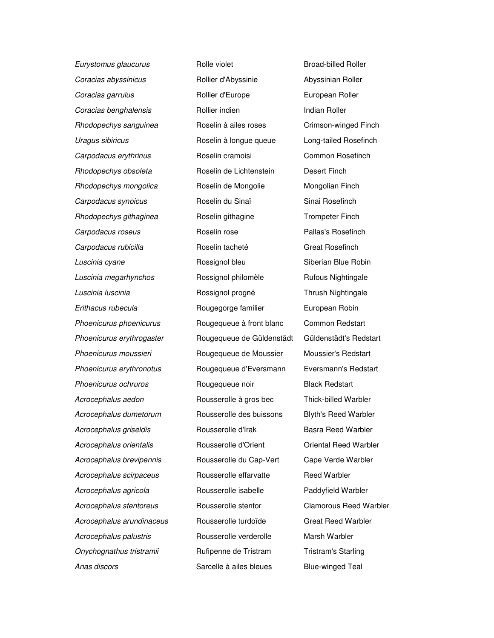Eurystomus glaucurus **Broad-billed Roller** Rolle violet **Broad-billed Roller** Coracias abyssinicus **Rollier d'Abyssinie** Abyssinian Roller Coracias garrulus **Europe Rollier d'Europe European Roller** Coracias benghalensis **Rollier** indien Indian Roller Rhodopechys sanguinea Roselin à ailes roses Crimson-winged Finch Uragus sibiricus Roselin à longue queue Long-tailed Rosefinch Carpodacus erythrinus **Roselin cramoisi** Common Rosefinch Rhodopechys obsoleta Roselin de Lichtenstein Desert Finch Rhodopechys mongolica Roselin de Mongolie Mongolian Finch Carpodacus synoicus Roselin du Sinaï Sinai Rosefinch Rhodopechys githaginea **Roselin githagine** Trompeter Finch Carpodacus roseus Roselin rose Pallas's Rosefinch Carpodacus rubicilla **Roselin tacheté Great Rosefinch Carpodacus rubicilla** Luscinia cyane Rossignol bleu Siberian Blue Robin Luscinia megarhynchos **Rossignol philomèle** Rufous Nightingale Luscinia luscinia Rossignol progné Thrush Nightingale Erithacus rubecula Rougegorge familier European Robin Phoenicurus phoenicurus **Rougequeue à front blanc** Common Redstart Phoenicurus erythrogaster Rougequeue de Güldenstädt Güldenstädt's Redstart Phoenicurus moussieri Rougequeue de Moussier Moussier's Redstart Phoenicurus erythronotus Rougequeue d'Eversmann Eversmann's Redstart Phoenicurus ochruros **Rougequeue noir** Black Redstart Acrocephalus aedon Rousserolle à gros bec Thick-billed Warbler Acrocephalus dumetorum Rousserolle des buissons Blyth's Reed Warbler Acrocephalus griseldis **Rousserolle d'Irak** Basra Reed Warbler Acrocephalus orientalis The Rousserolle d'Orient Coriental Reed Warbler Acrocephalus brevipennis Rousserolle du Cap-Vert Cape Verde Warbler Acrocephalus scirpaceus Rousserolle effarvatte Reed Warbler Acrocephalus agricola Rousserolle isabelle Paddyfield Warbler Acrocephalus stentoreus **Rousserolle** stentor **Clamorous Reed Warbler** Acrocephalus arundinaceus Rousserolle turdoïde Great Reed Warbler Acrocephalus palustris **Rousserolle verderolle** Marsh Warbler Onychognathus tristramii Rufipenne de Tristram Tristram's Starling Anas discors **Sarcelle à ailes bleues** Blue-winged Teal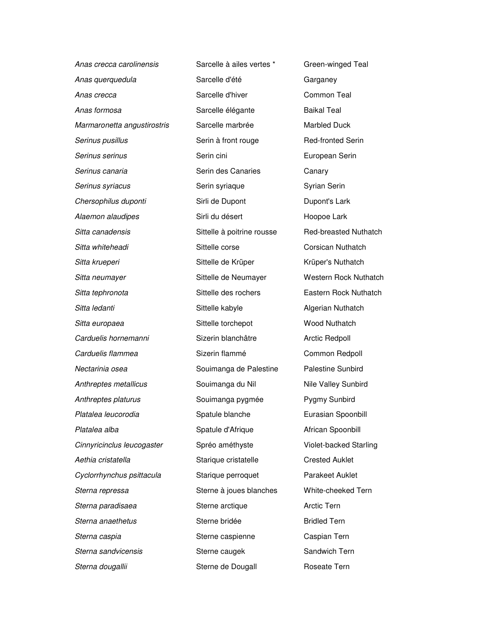Anas crecca carolinensis Sarcelle à ailes vertes \* Green-winged Teal Anas querquedula Sarcelle d'été Garganey Anas crecca Sarcelle d'hiver Common Teal Anas formosa **Sarcelle** élégante Baikal Teal Marmaronetta angustirostris Sarcelle marbrée Marbled Duck Serinus pusillus Serin à front rouge Red-fronted Serin and Red-fronted Serin Serinus serinus **Sering Serin Communist Serin Cini** European Serin Serinus canaria et annum Serin des Canaries Canary Serinus syriacus Serin syriaque Serin syriaque Syrian Serin Chersophilus duponti Sirli de Dupont Dupont's Lark Alaemon alaudipes Sirli du désert de la Hoopoe Lark Sitta canadensis Sittelle à poitrine rousse Red-breasted Nuthatch Sitta whiteheadi Sittelle corse Corsican Nuthatch Sitta krueperi Sittelle de Krüper Krüper's Nuthatch Sitta neumayer **Sittelle de Neumayer** Mestern Rock Nuthatch Sitta tephronota Sittelle des rochers Eastern Rock Nuthatch Sitta ledanti **Sittelle kabyle** Sittelle kabyle Algerian Nuthatch Sitta europaea Sittelle torchepot Wood Nuthatch Carduelis hornemanni Sizerin blanchâtre **Arctic Redpoll** Carduelis flammea Sizerin flammé Common Redpoll Nectarinia osea Souimanga de Palestine Palestine Sunbird Anthreptes metallicus Souimanga du Nil Nile Valley Sunbird Anthreptes platurus Souimanga pygmée Pygmy Sunbird Platalea leucorodia Spatule blanche Eurasian Spoonbill Platalea alba **Spatule d'Afrique** African Spoonbill Cinnyricinclus leucogaster Spréo améthyste Violet-backed Starling Aethia cristatella **Starique cristatelle** Crested Auklet Cyclorrhynchus psittacula Starique perroquet Parakeet Auklet Sterna repressa Sterne à joues blanches Milite-cheeked Tern Sterna paradisaea Sterne arctique **Arctic Tern** Sterna anaethetus Sterne bridée **Bridled Tern** Sterna caspia **Sterne** Caspienne Caspien Caspian Tern Sterna sandvicensis Sterne caugek Sterne Cauge Sandwich Tern

Sterna dougallii Sterne de Dougall Roseate Tern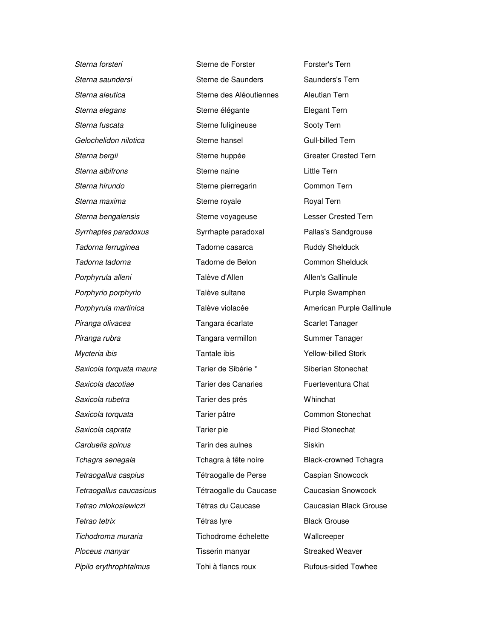Sterna saundersi Sterne de Saunders Saunders's Tern Sterna aleutica Sterne des Aléoutiennes Aleutian Tern Sterna elegans Sterne élégante Elegant Tern Sterna fuscata Sterne fuligineuse Sooty Tern Gelochelidon nilotica etterne Sterne hansel internet Gull-billed Tern Sterna bergii Sterne huppée Greater Crested Tern Sterna albifrons Sterne naine Little Tern Sterna hirundo Sterne pierregarin Common Tern Sterna maxima Sterne royale Royal Tern Sterna bengalensis **Sterne voyageuse** Sterne voyageuse **Lesser Crested Tern** Syrrhaptes paradoxus Syrrhapte paradoxal Pallas's Sandgrouse Tadorna ferruginea Tadorne casarca Ruddy Shelduck Tadorna tadorna Tadorne de Belon Common Shelduck Porphyrula alleni **Porphyrula** alleni **Talève d'Allen** Allen's Gallinule Porphyrio porphyrio Talève sultane Purple Swamphen Piranga olivacea Tangara écarlate Scarlet Tanager Piranga rubra Tangara vermillon Tangara vermillon Summer Tanager Mycteria ibis **Mycteria** ibis Tantale ibis **Tantale ibis** Yellow-billed Stork Saxicola torquata maura Tarier de Sibérie \* Siberian Stonechat Saxicola dacotiae Tarier des Canaries Fuerteventura Chat Saxicola rubetra Tarier des prés Whinchat Saxicola torquata Tarier pâtre Common Stonechat Saxicola caprata Tarier pie Pied Stonechat Carduelis spinus Tarin des aulnes Siskin Tchagra senegala Tchagra à tête noire Black-crowned Tchagra Tetraogallus caspius Tétraogalle de Perse Caspian Snowcock Tetraogallus caucasicus Tétraogalle du Caucase Caucasian Snowcock Tetrao mlokosiewiczi **Tétras du Caucase** Caucasian Black Grouse Tetrao tetrix **Tétras** lyre **Black Grouse Tétras** lyre **Black Grouse** Tichodroma muraria Tichodrome échelette Wallcreeper Ploceus manyar Tisserin manyar Streaked Weaver

Sterna forsteri Sterne de Forster Forster's Tern Pipilo erythrophtalmus Tohi à flancs roux Rufous-sided Towhee

Porphyrula martinica Talève violacée American Purple Gallinule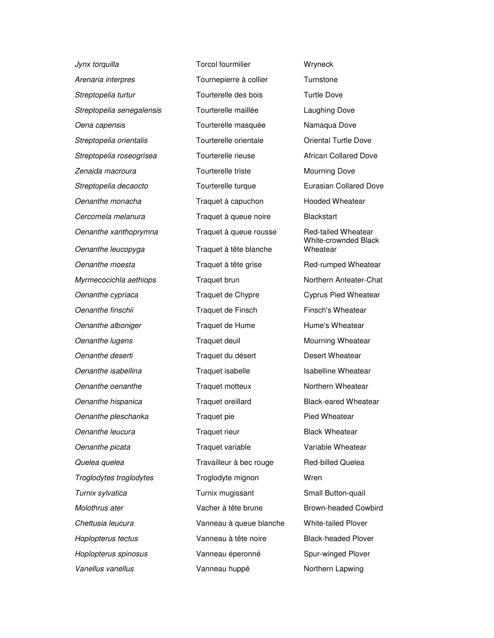Arenaria interpres Tournepierre à collier Turnstone Streptopelia turtur Tourterelle des bois Turtle Dove Streptopelia senegalensis Tourterelle maillée **Laughing Dove** Oena capensis Tourterelle masquée Namaqua Dove Streptopelia orientalis Tourterelle orientale Criental Turtle Dove Streptopelia roseogrisea Tourterelle rieuse African Collared Dove Zenaida macroura **Tourterelle triste** Mourning Dove Streptopelia decaocto Tourterelle turque Eurasian Collared Dove Oenanthe monacha Traquet à capuchon Hooded Wheatear Cercomela melanura **Traquet à queue noire** Blackstart Oenanthe xanthoprymna Traquet à queue rousse Red-tailed Wheatear Oenanthe leucopyga Traquet à tête blanche Oenanthe moesta Traquet à tête grise Red-rumped Wheatear Myrmecocichla aethiops Traquet brun Northern Anteater-Chat Oenanthe cypriaca Traquet de Chypre Cyprus Pied Wheatear Oenanthe finschii Traquet de Finsch Finsch's Wheatear Oenanthe alboniger Traquet de Hume Hume's Wheatear Oenanthe lugens Traquet deuil Mourning Wheatear Oenanthe deserti **Traquet du désert** Desert Wheatear Oenanthe isabellina Traquet isabelle Isabelline Wheatear Oenanthe oenanthe Traquet motteux Northern Wheatear Oenanthe hispanica Traquet oreillard Black-eared Wheatear Oenanthe pleschanka Traquet pie Pied Wheatear **Oenanthe leucura** Traquet rieur **Black Wheatear** Oenanthe picata Traquet variable Variable Variable Wheatear Quelea quelea **Travailleur** à bec rouge Red-billed Quelea Troglodytes troglodytes Troglodyte mignon Wren Turnix sylvatica Turnix mugissant Small Button-quail Molothrus ater The State of Nacher à tête brune Theorem Brown-headed Cowbird Chettusia leucura Vanneau à queue blanche White-tailed Plover Hoplopterus tectus **Vanneau à tête noire** Black-headed Plover Hoplopterus spinosus **Vanneau** éperonné **Spur-winged Plover** Vanellus vanellus vanneau huppé Northern Lapwing

Jynx torquilla Torcol fourmilier Wryneck

White-crownded Black **Wheatear**